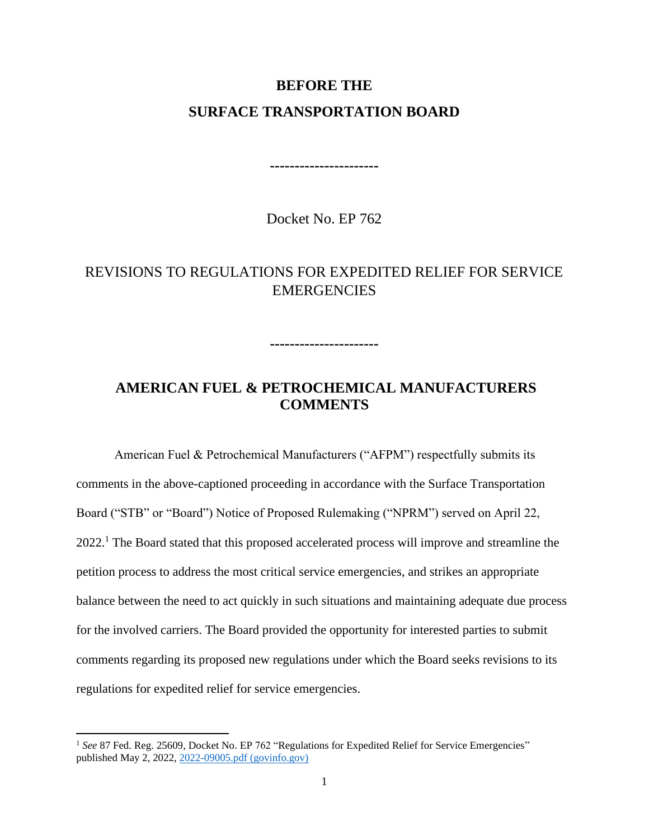#### **BEFORE THE**

### **SURFACE TRANSPORTATION BOARD**

**----------------------**

Docket No. EP 762

# REVISIONS TO REGULATIONS FOR EXPEDITED RELIEF FOR SERVICE **EMERGENCIES**

**----------------------**

# **AMERICAN FUEL & PETROCHEMICAL MANUFACTURERS COMMENTS**

American Fuel & Petrochemical Manufacturers ("AFPM") respectfully submits its comments in the above-captioned proceeding in accordance with the Surface Transportation Board ("STB" or "Board") Notice of Proposed Rulemaking ("NPRM") served on April 22, 2022.<sup>1</sup> The Board stated that this proposed accelerated process will improve and streamline the petition process to address the most critical service emergencies, and strikes an appropriate balance between the need to act quickly in such situations and maintaining adequate due process for the involved carriers. The Board provided the opportunity for interested parties to submit comments regarding its proposed new regulations under which the Board seeks revisions to its regulations for expedited relief for service emergencies.

<sup>&</sup>lt;sup>1</sup> See 87 Fed. Reg. 25609, Docket No. EP 762 "Regulations for Expedited Relief for Service Emergencies" published May 2, 2022, [2022-09005.pdf \(govinfo.gov\)](https://www.govinfo.gov/content/pkg/FR-2022-05-02/pdf/2022-09005.pdf)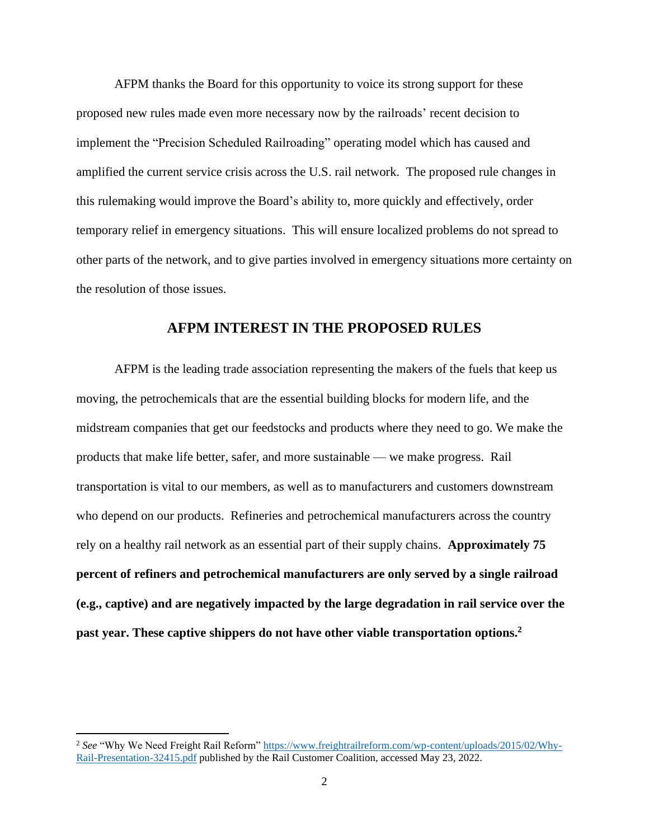AFPM thanks the Board for this opportunity to voice its strong support for these proposed new rules made even more necessary now by the railroads' recent decision to implement the "Precision Scheduled Railroading" operating model which has caused and amplified the current service crisis across the U.S. rail network. The proposed rule changes in this rulemaking would improve the Board's ability to, more quickly and effectively, order temporary relief in emergency situations. This will ensure localized problems do not spread to other parts of the network, and to give parties involved in emergency situations more certainty on the resolution of those issues.

#### **AFPM INTEREST IN THE PROPOSED RULES**

AFPM is the leading trade association representing the makers of the fuels that keep us moving, the petrochemicals that are the essential building blocks for modern life, and the midstream companies that get our feedstocks and products where they need to go. We make the products that make life better, safer, and more sustainable — we make progress. Rail transportation is vital to our members, as well as to manufacturers and customers downstream who depend on our products. Refineries and petrochemical manufacturers across the country rely on a healthy rail network as an essential part of their supply chains. **Approximately 75 percent of refiners and petrochemical manufacturers are only served by a single railroad (e.g., captive) and are negatively impacted by the large degradation in rail service over the past year. These captive shippers do not have other viable transportation options.<sup>2</sup>**

<sup>&</sup>lt;sup>2</sup> See "Why We Need Freight Rail Reform" [https://www.freightrailreform.com/wp-content/uploads/2015/02/Why-](https://www.freightrailreform.com/wp-content/uploads/2015/02/Why-Rail-Presentation-32415.pdf)[Rail-Presentation-32415.pdf](https://www.freightrailreform.com/wp-content/uploads/2015/02/Why-Rail-Presentation-32415.pdf) published by the Rail Customer Coalition, accessed May 23, 2022.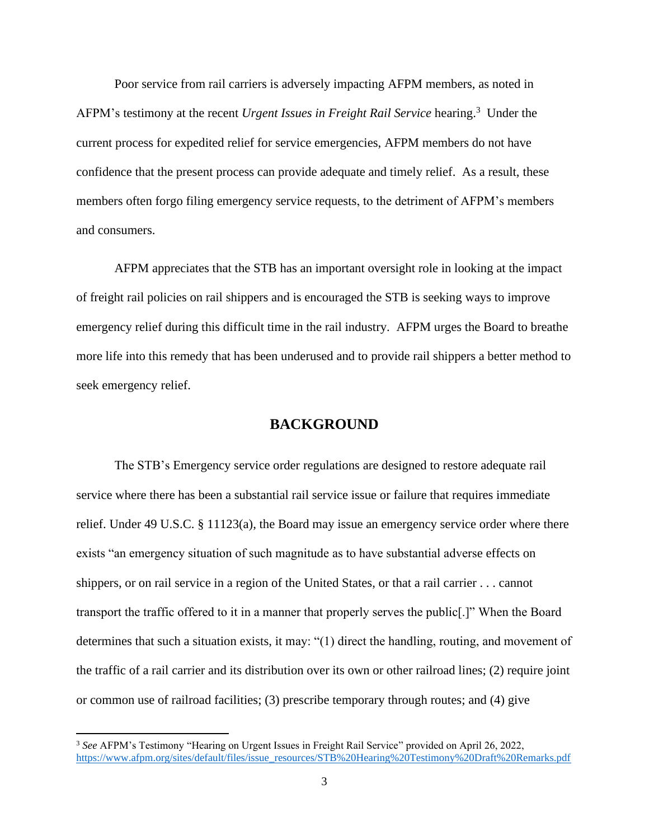Poor service from rail carriers is adversely impacting AFPM members, as noted in AFPM's testimony at the recent *Urgent Issues in Freight Rail Service* hearing.<sup>3</sup> Under the current process for expedited relief for service emergencies, AFPM members do not have confidence that the present process can provide adequate and timely relief. As a result, these members often forgo filing emergency service requests, to the detriment of AFPM's members and consumers.

AFPM appreciates that the STB has an important oversight role in looking at the impact of freight rail policies on rail shippers and is encouraged the STB is seeking ways to improve emergency relief during this difficult time in the rail industry. AFPM urges the Board to breathe more life into this remedy that has been underused and to provide rail shippers a better method to seek emergency relief.

#### **BACKGROUND**

The STB's Emergency service order regulations are designed to restore adequate rail service where there has been a substantial rail service issue or failure that requires immediate relief. Under 49 U.S.C. § 11123(a), the Board may issue an emergency service order where there exists "an emergency situation of such magnitude as to have substantial adverse effects on shippers, or on rail service in a region of the United States, or that a rail carrier . . . cannot transport the traffic offered to it in a manner that properly serves the public[.]" When the Board determines that such a situation exists, it may: "(1) direct the handling, routing, and movement of the traffic of a rail carrier and its distribution over its own or other railroad lines; (2) require joint or common use of railroad facilities; (3) prescribe temporary through routes; and (4) give

<sup>3</sup> *See* AFPM's Testimony "Hearing on Urgent Issues in Freight Rail Service" provided on April 26, 2022, [https://www.afpm.org/sites/default/files/issue\\_resources/STB%20Hearing%20Testimony%20Draft%20Remarks.pdf](https://www.afpm.org/sites/default/files/issue_resources/STB%20Hearing%20Testimony%20Draft%20Remarks.pdf)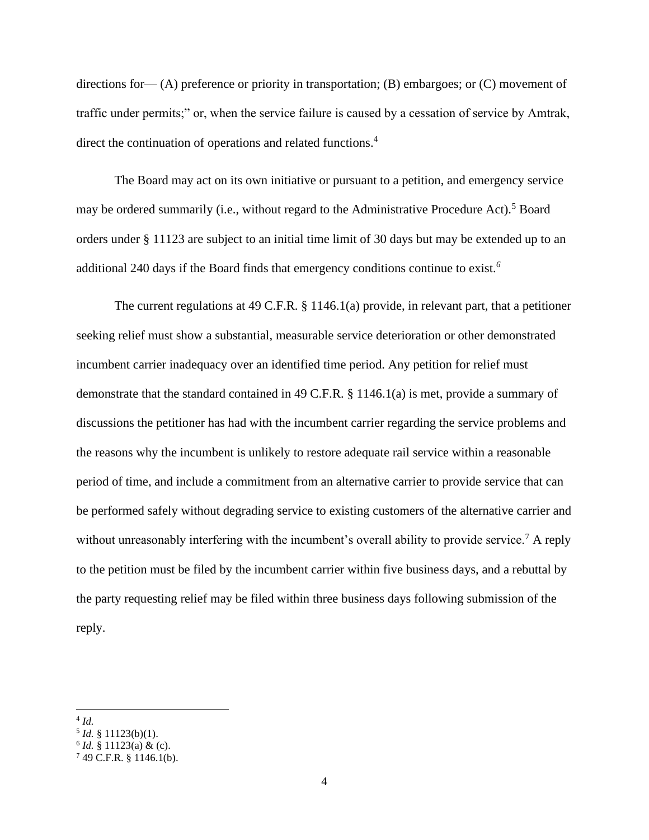directions for— (A) preference or priority in transportation; (B) embargoes; or (C) movement of traffic under permits;" or, when the service failure is caused by a cessation of service by Amtrak, direct the continuation of operations and related functions.<sup>4</sup>

The Board may act on its own initiative or pursuant to a petition, and emergency service may be ordered summarily (i.e., without regard to the Administrative Procedure Act).<sup>5</sup> Board orders under § 11123 are subject to an initial time limit of 30 days but may be extended up to an additional 240 days if the Board finds that emergency conditions continue to exist*. 6*

The current regulations at 49 C.F.R. § 1146.1(a) provide, in relevant part, that a petitioner seeking relief must show a substantial, measurable service deterioration or other demonstrated incumbent carrier inadequacy over an identified time period. Any petition for relief must demonstrate that the standard contained in 49 C.F.R. § 1146.1(a) is met, provide a summary of discussions the petitioner has had with the incumbent carrier regarding the service problems and the reasons why the incumbent is unlikely to restore adequate rail service within a reasonable period of time, and include a commitment from an alternative carrier to provide service that can be performed safely without degrading service to existing customers of the alternative carrier and without unreasonably interfering with the incumbent's overall ability to provide service.<sup>7</sup> A reply to the petition must be filed by the incumbent carrier within five business days, and a rebuttal by the party requesting relief may be filed within three business days following submission of the reply.

<sup>4</sup> *Id.*

<sup>5</sup> *Id.* § 11123(b)(1).

 $6$  *Id.* § 11123(a) & (c).

 $749$  C.F.R. § 1146.1(b).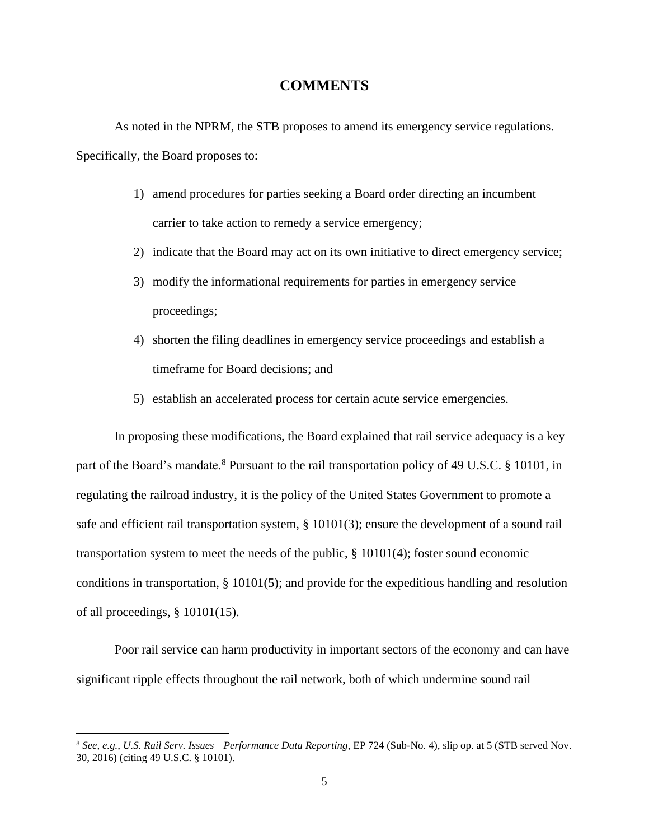### **COMMENTS**

As noted in the NPRM, the STB proposes to amend its emergency service regulations. Specifically, the Board proposes to:

- 1) amend procedures for parties seeking a Board order directing an incumbent carrier to take action to remedy a service emergency;
- 2) indicate that the Board may act on its own initiative to direct emergency service;
- 3) modify the informational requirements for parties in emergency service proceedings;
- 4) shorten the filing deadlines in emergency service proceedings and establish a timeframe for Board decisions; and
- 5) establish an accelerated process for certain acute service emergencies.

In proposing these modifications, the Board explained that rail service adequacy is a key part of the Board's mandate.<sup>8</sup> Pursuant to the rail transportation policy of 49 U.S.C. § 10101, in regulating the railroad industry, it is the policy of the United States Government to promote a safe and efficient rail transportation system, § 10101(3); ensure the development of a sound rail transportation system to meet the needs of the public, § 10101(4); foster sound economic conditions in transportation, § 10101(5); and provide for the expeditious handling and resolution of all proceedings, § 10101(15).

Poor rail service can harm productivity in important sectors of the economy and can have significant ripple effects throughout the rail network, both of which undermine sound rail

<sup>8</sup> *See, e.g., U.S. Rail Serv. Issues—Performance Data Reporting*, EP 724 (Sub-No. 4), slip op. at 5 (STB served Nov. 30, 2016) (citing 49 U.S.C. § 10101).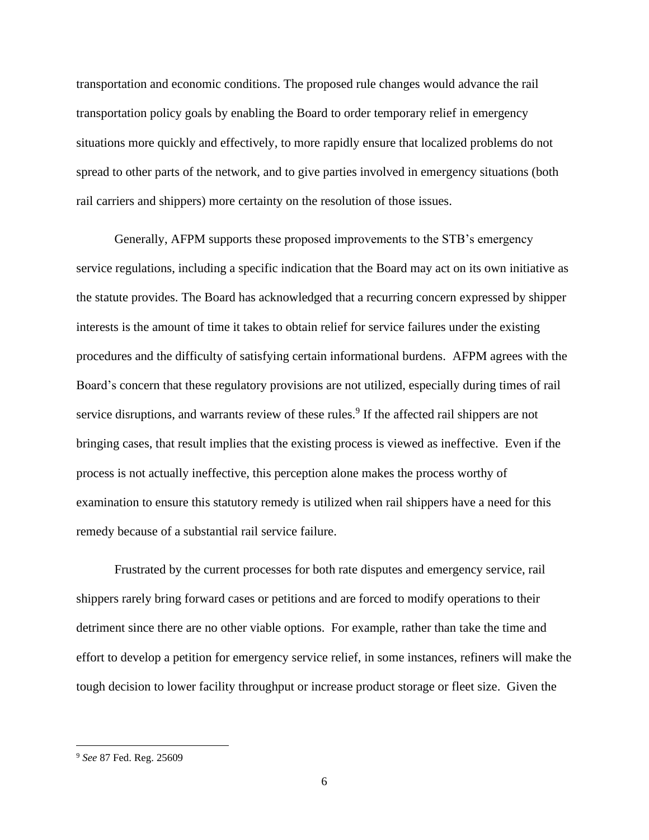transportation and economic conditions. The proposed rule changes would advance the rail transportation policy goals by enabling the Board to order temporary relief in emergency situations more quickly and effectively, to more rapidly ensure that localized problems do not spread to other parts of the network, and to give parties involved in emergency situations (both rail carriers and shippers) more certainty on the resolution of those issues.

Generally, AFPM supports these proposed improvements to the STB's emergency service regulations, including a specific indication that the Board may act on its own initiative as the statute provides. The Board has acknowledged that a recurring concern expressed by shipper interests is the amount of time it takes to obtain relief for service failures under the existing procedures and the difficulty of satisfying certain informational burdens. AFPM agrees with the Board's concern that these regulatory provisions are not utilized, especially during times of rail service disruptions, and warrants review of these rules.<sup>9</sup> If the affected rail shippers are not bringing cases, that result implies that the existing process is viewed as ineffective. Even if the process is not actually ineffective, this perception alone makes the process worthy of examination to ensure this statutory remedy is utilized when rail shippers have a need for this remedy because of a substantial rail service failure.

Frustrated by the current processes for both rate disputes and emergency service, rail shippers rarely bring forward cases or petitions and are forced to modify operations to their detriment since there are no other viable options. For example, rather than take the time and effort to develop a petition for emergency service relief, in some instances, refiners will make the tough decision to lower facility throughput or increase product storage or fleet size. Given the

<sup>9</sup> *See* 87 Fed. Reg. 25609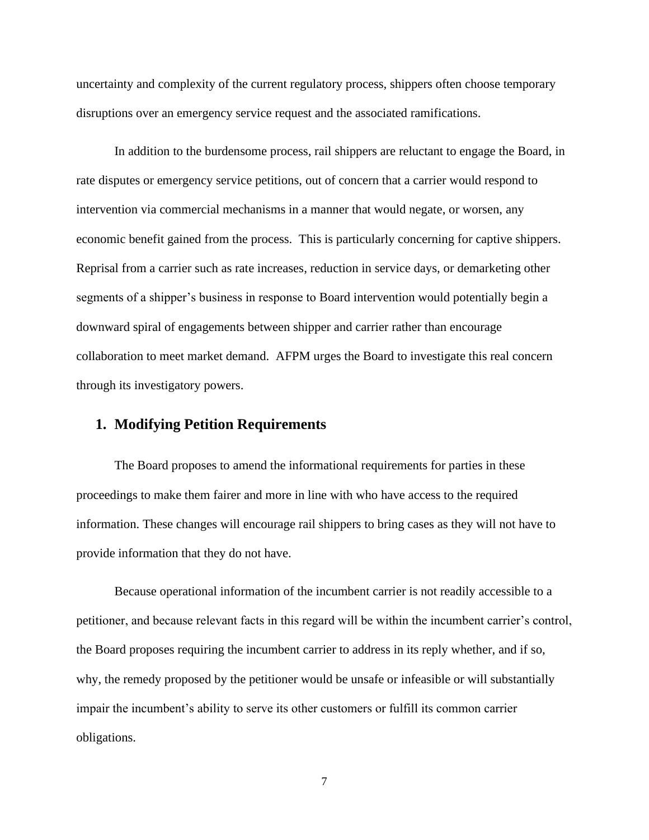uncertainty and complexity of the current regulatory process, shippers often choose temporary disruptions over an emergency service request and the associated ramifications.

In addition to the burdensome process, rail shippers are reluctant to engage the Board, in rate disputes or emergency service petitions, out of concern that a carrier would respond to intervention via commercial mechanisms in a manner that would negate, or worsen, any economic benefit gained from the process. This is particularly concerning for captive shippers. Reprisal from a carrier such as rate increases, reduction in service days, or demarketing other segments of a shipper's business in response to Board intervention would potentially begin a downward spiral of engagements between shipper and carrier rather than encourage collaboration to meet market demand. AFPM urges the Board to investigate this real concern through its investigatory powers.

# **1. Modifying Petition Requirements**

The Board proposes to amend the informational requirements for parties in these proceedings to make them fairer and more in line with who have access to the required information. These changes will encourage rail shippers to bring cases as they will not have to provide information that they do not have.

Because operational information of the incumbent carrier is not readily accessible to a petitioner, and because relevant facts in this regard will be within the incumbent carrier's control, the Board proposes requiring the incumbent carrier to address in its reply whether, and if so, why, the remedy proposed by the petitioner would be unsafe or infeasible or will substantially impair the incumbent's ability to serve its other customers or fulfill its common carrier obligations.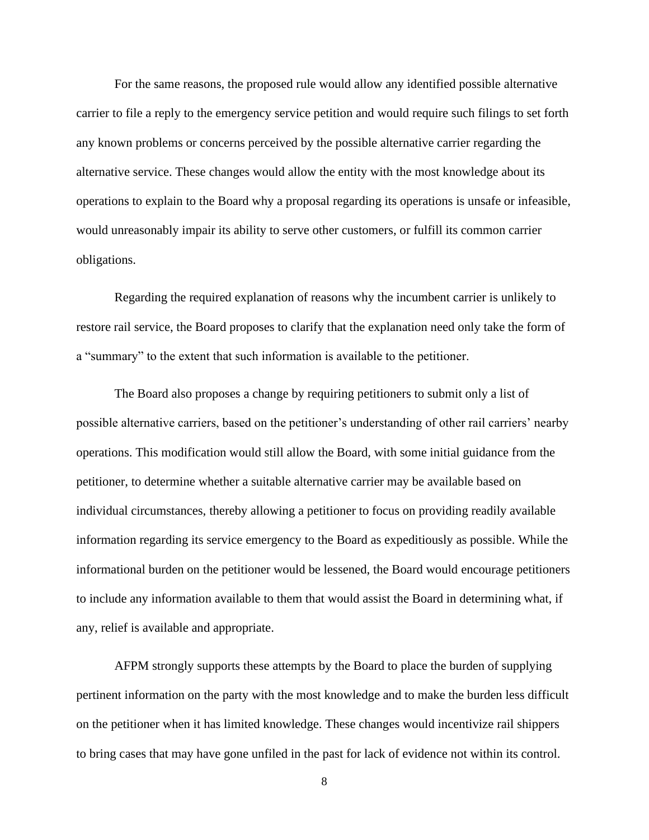For the same reasons, the proposed rule would allow any identified possible alternative carrier to file a reply to the emergency service petition and would require such filings to set forth any known problems or concerns perceived by the possible alternative carrier regarding the alternative service. These changes would allow the entity with the most knowledge about its operations to explain to the Board why a proposal regarding its operations is unsafe or infeasible, would unreasonably impair its ability to serve other customers, or fulfill its common carrier obligations.

Regarding the required explanation of reasons why the incumbent carrier is unlikely to restore rail service, the Board proposes to clarify that the explanation need only take the form of a "summary" to the extent that such information is available to the petitioner.

The Board also proposes a change by requiring petitioners to submit only a list of possible alternative carriers, based on the petitioner's understanding of other rail carriers' nearby operations. This modification would still allow the Board, with some initial guidance from the petitioner, to determine whether a suitable alternative carrier may be available based on individual circumstances, thereby allowing a petitioner to focus on providing readily available information regarding its service emergency to the Board as expeditiously as possible. While the informational burden on the petitioner would be lessened, the Board would encourage petitioners to include any information available to them that would assist the Board in determining what, if any, relief is available and appropriate.

AFPM strongly supports these attempts by the Board to place the burden of supplying pertinent information on the party with the most knowledge and to make the burden less difficult on the petitioner when it has limited knowledge. These changes would incentivize rail shippers to bring cases that may have gone unfiled in the past for lack of evidence not within its control.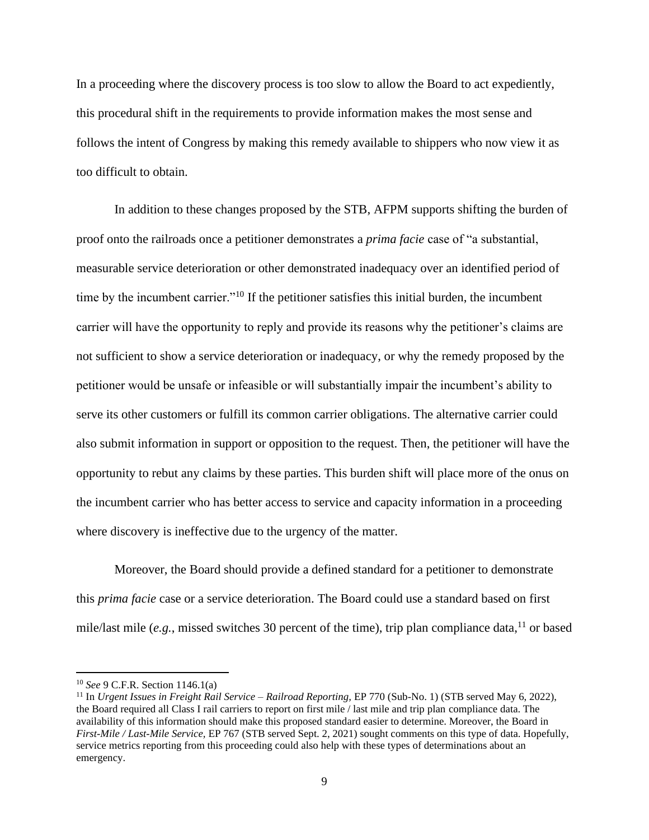In a proceeding where the discovery process is too slow to allow the Board to act expediently, this procedural shift in the requirements to provide information makes the most sense and follows the intent of Congress by making this remedy available to shippers who now view it as too difficult to obtain.

In addition to these changes proposed by the STB, AFPM supports shifting the burden of proof onto the railroads once a petitioner demonstrates a *prima facie* case of "a substantial, measurable service deterioration or other demonstrated inadequacy over an identified period of time by the incumbent carrier."<sup>10</sup> If the petitioner satisfies this initial burden, the incumbent carrier will have the opportunity to reply and provide its reasons why the petitioner's claims are not sufficient to show a service deterioration or inadequacy, or why the remedy proposed by the petitioner would be unsafe or infeasible or will substantially impair the incumbent's ability to serve its other customers or fulfill its common carrier obligations. The alternative carrier could also submit information in support or opposition to the request. Then, the petitioner will have the opportunity to rebut any claims by these parties. This burden shift will place more of the onus on the incumbent carrier who has better access to service and capacity information in a proceeding where discovery is ineffective due to the urgency of the matter.

Moreover, the Board should provide a defined standard for a petitioner to demonstrate this *prima facie* case or a service deterioration. The Board could use a standard based on first mile/last mile (e.g., missed switches 30 percent of the time), trip plan compliance data,<sup>11</sup> or based

<sup>10</sup> *See* 9 C.F.R. Section 1146.1(a)

<sup>&</sup>lt;sup>11</sup> In *Urgent Issues in Freight Rail Service – Railroad Reporting, EP 770 (Sub-No. 1) (STB served May 6, 2022),* the Board required all Class I rail carriers to report on first mile / last mile and trip plan compliance data. The availability of this information should make this proposed standard easier to determine. Moreover, the Board in *First-Mile / Last-Mile Service,* EP 767 (STB served Sept. 2, 2021) sought comments on this type of data. Hopefully, service metrics reporting from this proceeding could also help with these types of determinations about an emergency.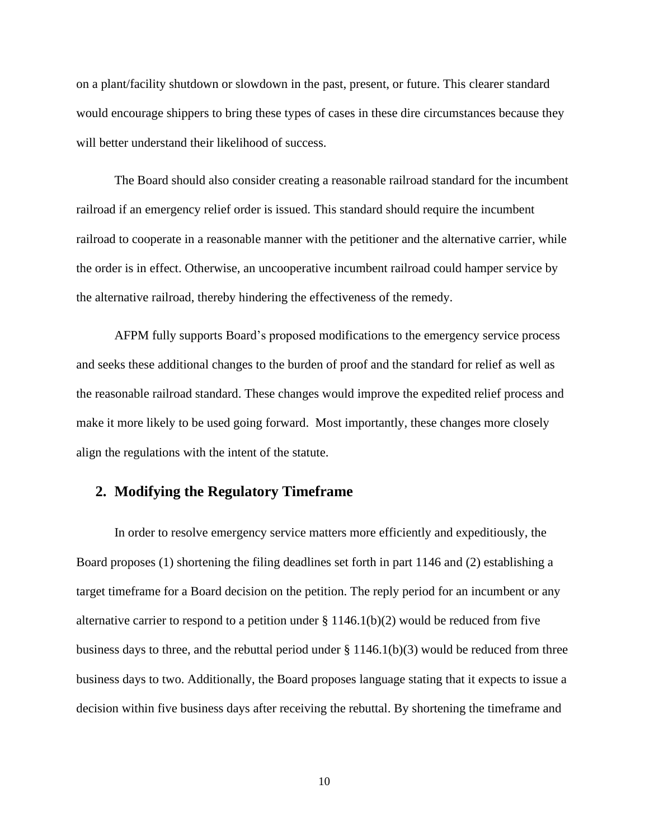on a plant/facility shutdown or slowdown in the past, present, or future. This clearer standard would encourage shippers to bring these types of cases in these dire circumstances because they will better understand their likelihood of success.

The Board should also consider creating a reasonable railroad standard for the incumbent railroad if an emergency relief order is issued. This standard should require the incumbent railroad to cooperate in a reasonable manner with the petitioner and the alternative carrier, while the order is in effect. Otherwise, an uncooperative incumbent railroad could hamper service by the alternative railroad, thereby hindering the effectiveness of the remedy.

AFPM fully supports Board's proposed modifications to the emergency service process and seeks these additional changes to the burden of proof and the standard for relief as well as the reasonable railroad standard. These changes would improve the expedited relief process and make it more likely to be used going forward. Most importantly, these changes more closely align the regulations with the intent of the statute.

## **2. Modifying the Regulatory Timeframe**

In order to resolve emergency service matters more efficiently and expeditiously, the Board proposes (1) shortening the filing deadlines set forth in part 1146 and (2) establishing a target timeframe for a Board decision on the petition. The reply period for an incumbent or any alternative carrier to respond to a petition under  $\S 1146.1(b)(2)$  would be reduced from five business days to three, and the rebuttal period under  $\S 1146.1(b)(3)$  would be reduced from three business days to two. Additionally, the Board proposes language stating that it expects to issue a decision within five business days after receiving the rebuttal. By shortening the timeframe and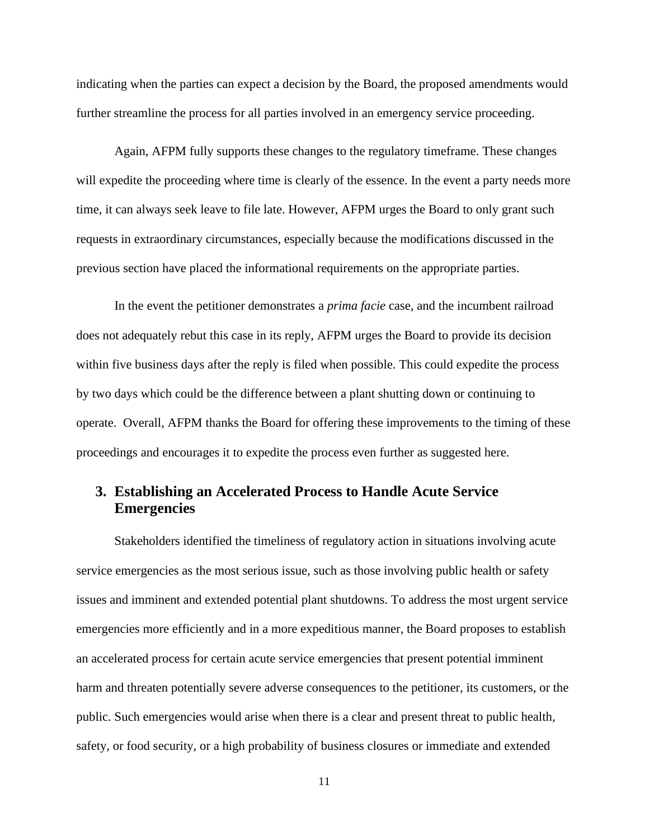indicating when the parties can expect a decision by the Board, the proposed amendments would further streamline the process for all parties involved in an emergency service proceeding.

Again, AFPM fully supports these changes to the regulatory timeframe. These changes will expedite the proceeding where time is clearly of the essence. In the event a party needs more time, it can always seek leave to file late. However, AFPM urges the Board to only grant such requests in extraordinary circumstances, especially because the modifications discussed in the previous section have placed the informational requirements on the appropriate parties.

In the event the petitioner demonstrates a *prima facie* case, and the incumbent railroad does not adequately rebut this case in its reply, AFPM urges the Board to provide its decision within five business days after the reply is filed when possible. This could expedite the process by two days which could be the difference between a plant shutting down or continuing to operate. Overall, AFPM thanks the Board for offering these improvements to the timing of these proceedings and encourages it to expedite the process even further as suggested here.

# **3. Establishing an Accelerated Process to Handle Acute Service Emergencies**

Stakeholders identified the timeliness of regulatory action in situations involving acute service emergencies as the most serious issue, such as those involving public health or safety issues and imminent and extended potential plant shutdowns. To address the most urgent service emergencies more efficiently and in a more expeditious manner, the Board proposes to establish an accelerated process for certain acute service emergencies that present potential imminent harm and threaten potentially severe adverse consequences to the petitioner, its customers, or the public. Such emergencies would arise when there is a clear and present threat to public health, safety, or food security, or a high probability of business closures or immediate and extended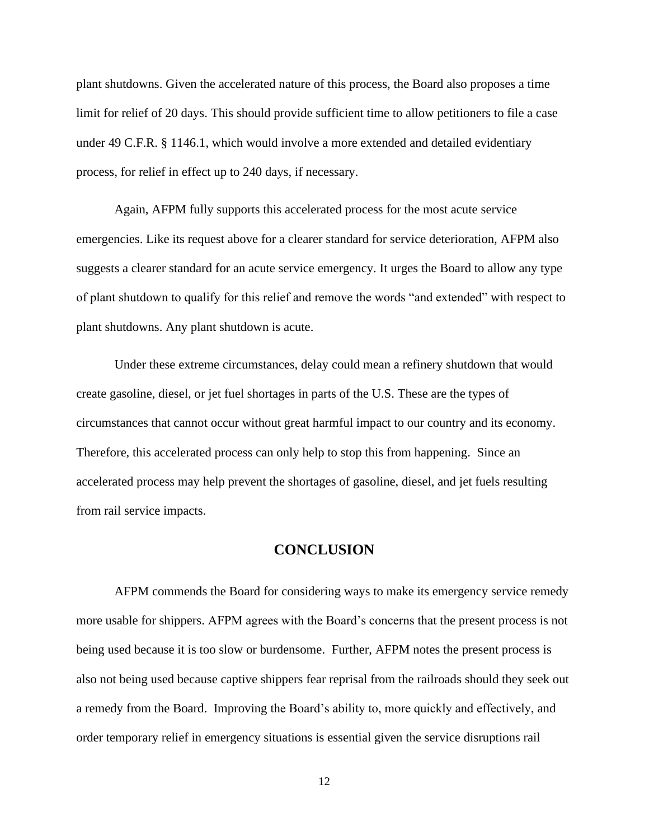plant shutdowns. Given the accelerated nature of this process, the Board also proposes a time limit for relief of 20 days. This should provide sufficient time to allow petitioners to file a case under 49 C.F.R. § 1146.1, which would involve a more extended and detailed evidentiary process, for relief in effect up to 240 days, if necessary.

Again, AFPM fully supports this accelerated process for the most acute service emergencies. Like its request above for a clearer standard for service deterioration, AFPM also suggests a clearer standard for an acute service emergency. It urges the Board to allow any type of plant shutdown to qualify for this relief and remove the words "and extended" with respect to plant shutdowns. Any plant shutdown is acute.

Under these extreme circumstances, delay could mean a refinery shutdown that would create gasoline, diesel, or jet fuel shortages in parts of the U.S. These are the types of circumstances that cannot occur without great harmful impact to our country and its economy. Therefore, this accelerated process can only help to stop this from happening. Since an accelerated process may help prevent the shortages of gasoline, diesel, and jet fuels resulting from rail service impacts.

### **CONCLUSION**

AFPM commends the Board for considering ways to make its emergency service remedy more usable for shippers. AFPM agrees with the Board's concerns that the present process is not being used because it is too slow or burdensome. Further, AFPM notes the present process is also not being used because captive shippers fear reprisal from the railroads should they seek out a remedy from the Board. Improving the Board's ability to, more quickly and effectively, and order temporary relief in emergency situations is essential given the service disruptions rail